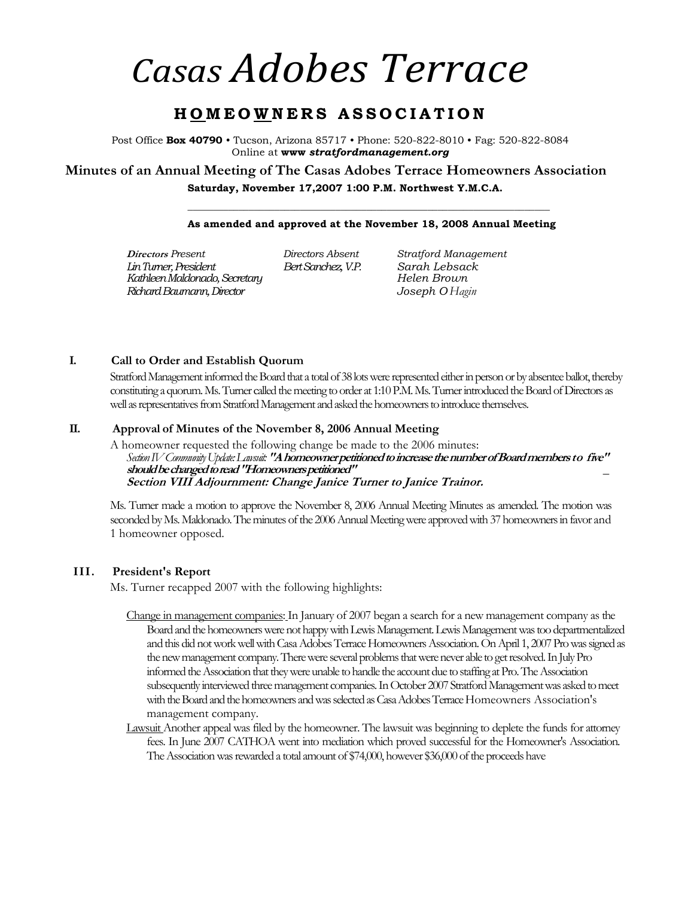# *Casas Adobes Terrace*

# **H O M E O W N E R S A S S O C I A T I O N**

Post Office **Box 40790** • Tucson, Arizona 85717 • Phone: 520-822-8010 • Fag: 520-822-8084 Online at **www** *stratfordmanagement.org* 

**Minutes of an Annual Meeting of The Casas Adobes Terrace Homeowners Association Saturday, November 17,2007 1:00 P.M. Northwest Y.M.C.A.** 

# **\_\_\_\_\_\_\_\_\_\_\_\_\_\_\_\_\_\_\_\_\_\_\_\_\_\_\_\_\_\_\_\_\_\_\_\_\_\_\_\_\_\_\_\_\_\_\_\_\_\_\_\_\_\_\_\_\_\_\_\_\_\_\_\_\_\_\_\_\_\_\_ As amended and approved at the November 18, 2008 Annual Meeting**

**Directors** *Present Directors Absent Stratford Management Lin Turner, President Bert Sanchez, V.P. Sarah Lebsack Kathleen Maldonado, Secretary Helen Brown Richard Baumann, Director Joseph O Hagin*

#### **I. Call to Order and Establish Quorum**

Stratford Management informed the Board that a total of 38 lots were represented either in person or by absentee ballot, thereby constituting a quorum. Ms. Turner called the meeting to order at 1:10 P.M. Ms. Turner introduced the Board of Directors as well as representatives from Stratford Management and asked the homeowners to introduce themselves.

#### **II. Approval of Minutes of the November 8, 2006 Annual Meeting**

A homeowner requested the following change be made to the 2006 minutes: *Section IV Community Update: Lawsuit:* **"A homeowner petitioned to increase the number of Board members to five" should be changed to read "Homeowners petitioned"** *\_*  **Section VIII Adjournment: Change Janice Turner to Janice Trainor.** 

Ms. Turner made a motion to approve the November 8, 2006 Annual Meeting Minutes as amended. The motion was seconded by Ms. Maldonado. The minutes of the 2006 Annual Meeting were approved with 37 homeowners in favor and 1 homeowner opposed.

#### **III. President's Report**

Ms. Turner recapped 2007 with the following highlights:

- Change in management companies: In January of 2007 began a search for a new management company as the Board and the homeowners were not happy with Lewis Management. Lewis Management was too departmentalized and this did not work well with Casa Adobes Terrace Homeowners Association. On April 1, 2007 Pro was signed as the new management company. There were several problems that were never able to get resolved. In July Pro informed the Association that they were unable to handle the account due to staffing at Pro. The Association subsequently interviewed three management companies. In October 2007 Stratford Management was asked to meet with the Board and the homeowners and was selected as Casa Adobes Terrace Homeowners Association's management company.
- Lawsuit Another appeal was filed by the homeowner. The lawsuit was beginning to deplete the funds for attorney fees. In June 2007 CATHOA went into mediation which proved successful for the Homeowner's Association. The Association was rewarded a total amount of \$74,000, however \$36,000 of the proceeds have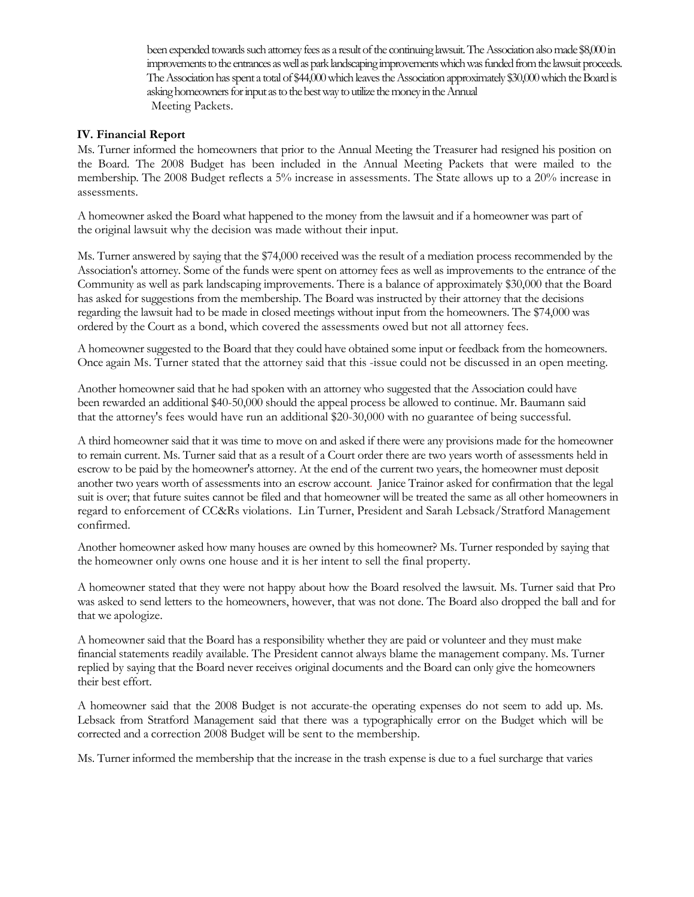been expended towards such attorney fees as a result of the continuing lawsuit. The Association also made \$8,000 in improvements to the entrances as well as park landscaping improvements which was funded from the lawsuit proceeds. The Association has spent a total of \$44,000 which leaves the Association approximately \$30,000 which the Board is asking homeowners for input as to the best way to utilize the money in the Annual Meeting Packets.

## **IV. Financial Report**

Ms. Turner informed the homeowners that prior to the Annual Meeting the Treasurer had resigned his position on the Board. The 2008 Budget has been included in the Annual Meeting Packets that were mailed to the membership. The 2008 Budget reflects a 5% increase in assessments. The State allows up to a 20% increase in assessments.

A homeowner asked the Board what happened to the money from the lawsuit and if a homeowner was part of the original lawsuit why the decision was made without their input.

Ms. Turner answered by saying that the \$74,000 received was the result of a mediation process recommended by the Association's attorney. Some of the funds were spent on attorney fees as well as improvements to the entrance of the Community as well as park landscaping improvements. There is a balance of approximately \$30,000 that the Board has asked for suggestions from the membership. The Board was instructed by their attorney that the decisions regarding the lawsuit had to be made in closed meetings without input from the homeowners. The \$74,000 was ordered by the Court as a bond, which covered the assessments owed but not all attorney fees.

A homeowner suggested to the Board that they could have obtained some input or feedback from the homeowners. Once again Ms. Turner stated that the attorney said that this -issue could not be discussed in an open meeting.

Another homeowner said that he had spoken with an attorney who suggested that the Association could have been rewarded an additional \$40-50,000 should the appeal process be allowed to continue. Mr. Baumann said that the attorney's fees would have run an additional \$20-30,000 with no guarantee of being successful.

A third homeowner said that it was time to move on and asked if there were any provisions made for the homeowner to remain current. Ms. Turner said that as a result of a Court order there are two years worth of assessments held in escrow to be paid by the homeowner's attorney. At the end of the current two years, the homeowner must deposit another two years worth of assessments into an escrow account. Janice Trainor asked for confirmation that the legal suit is over; that future suites cannot be filed and that homeowner will be treated the same as all other homeowners in regard to enforcement of CC&Rs violations. Lin Turner, President and Sarah Lebsack/Stratford Management confirmed.

Another homeowner asked how many houses are owned by this homeowner? Ms. Turner responded by saying that the homeowner only owns one house and it is her intent to sell the final property.

A homeowner stated that they were not happy about how the Board resolved the lawsuit. Ms. Turner said that Pro was asked to send letters to the homeowners, however, that was not done. The Board also dropped the ball and for that we apologize.

A homeowner said that the Board has a responsibility whether they are paid or volunteer and they must make financial statements readily available. The President cannot always blame the management company. Ms. Turner replied by saying that the Board never receives original documents and the Board can only give the homeowners their best effort.

A homeowner said that the 2008 Budget is not accurate-the operating expenses do not seem to add up. Ms. Lebsack from Stratford Management said that there was a typographically error on the Budget which will be corrected and a correction 2008 Budget will be sent to the membership.

Ms. Turner informed the membership that the increase in the trash expense is due to a fuel surcharge that varies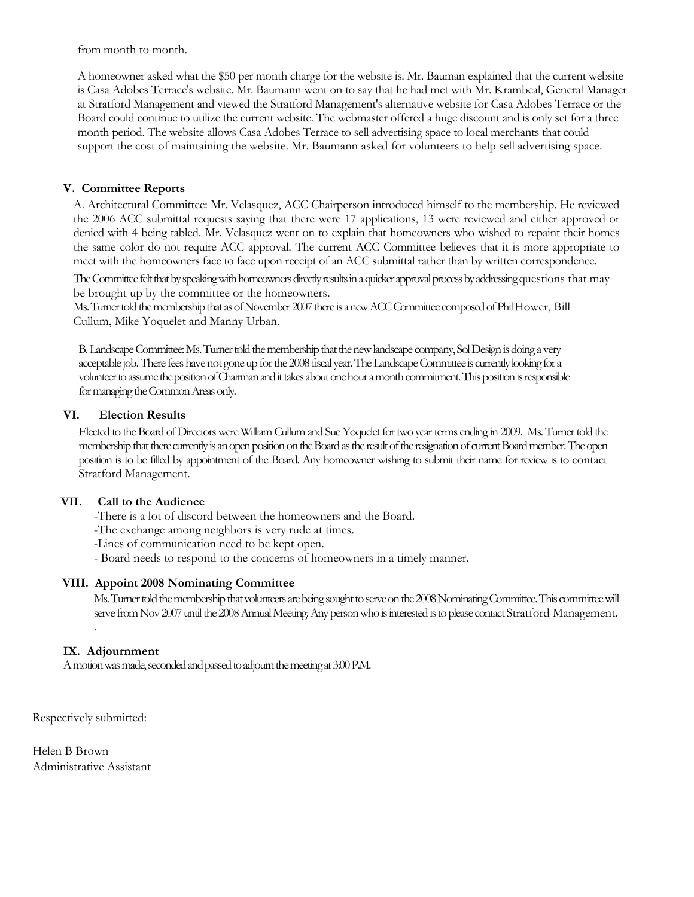from month to month.

A homeowner asked what the \$50 per month charge for the website is. Mr. Bauman explained that the current website is Casa Adobes Terrace's website. Mr. Baumann went on to say that he had met with Mr. Krambeal, General Manager at Stratford Management and viewed the Stratford Management's alternative website for Casa Adobes Terrace or the Board could continue to utilize the current website. The webmaster offered a huge discount and is only set for a three month period. The website allows Casa Adobes Terrace to sell advertising space to local merchants that could support the cost of maintaining the website. Mr. Baumann asked for volunteers to help sell advertising space.

# **V. Committee Reports**

A. Architectural Committee: Mr. Velasquez, ACC Chairperson introduced himself to the membership. He reviewed the 2006 ACC submittal requests saying that there were 17 applications, 13 were reviewed and either approved or denied with 4 being tabled. Mr. Velasquez went on to explain that homeowners who wished to repaint their homes the same color do not require ACC approval. The current ACC Committee believes that it is more appropriate to meet with the homeowners face to face upon receipt of an ACC submittal rather than by written correspondence.

The Committee felt that by speaking with homeowners directly results in a quicker approval process by addressing questions that may be brought up by the committee or the homeowners.

Ms. Turner told the membership that as of November 2007 there is a new ACC Committee composed of Phil Hower, Bill Cullum, Mike Yoquelet and Manny Urban.

B. Landscape Committee: Ms. Turner told the membership that the new landscape company, Sol Design is doing a very acceptable job. There fees have not gone up for the 2008 fiscal year. The Landscape Committee is currently looking for a volunteer to assume the position of Chairman and it takes about one hour a month commitment. This position is responsible for managing the Common Areas only.

#### **VI. Election Results**

Elected to the Board of Directors were William Cullum and Sue Yoquelet for two year terms ending in 2009. Ms. Turner told the membership that there currently is an open position on the Board as the result of the resignation of current Board member. The open position is to be filled by appointment of the Board. Any homeowner wishing to submit their name for review is to contact Stratford Management.

## **VII. Call to the Audience**

-There is a lot of discord between the homeowners and the Board.

-The exchange among neighbors is very rude at times.

- -Lines of communication need to be kept open.
- Board needs to respond to the concerns of homeowners in a timely manner.

## **VIII. Appoint 2008 Nominating Committee**

Ms. Turner told the membership that volunteers are being sought to serve on the 2008 Nominating Committee. This committee will serve from Nov 2007 until the 2008 Annual Meeting. Any person who is interested is to please contact Stratford Management.

## **IX. Adjournment**

.

A motion was made, seconded and passed to adjourn the meeting at 3:00 P.M.

Respectively submitted:

Helen B Brown Administrative Assistant